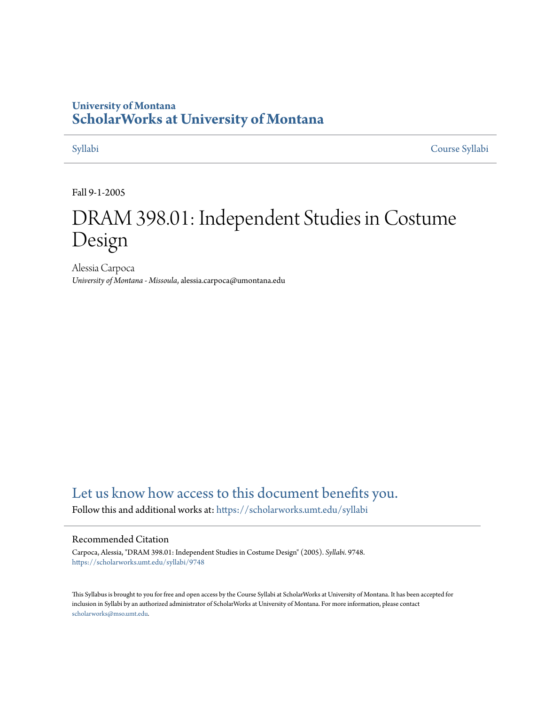## **University of Montana [ScholarWorks at University of Montana](https://scholarworks.umt.edu?utm_source=scholarworks.umt.edu%2Fsyllabi%2F9748&utm_medium=PDF&utm_campaign=PDFCoverPages)**

[Syllabi](https://scholarworks.umt.edu/syllabi?utm_source=scholarworks.umt.edu%2Fsyllabi%2F9748&utm_medium=PDF&utm_campaign=PDFCoverPages) [Course Syllabi](https://scholarworks.umt.edu/course_syllabi?utm_source=scholarworks.umt.edu%2Fsyllabi%2F9748&utm_medium=PDF&utm_campaign=PDFCoverPages)

Fall 9-1-2005

# DRAM 398.01: Independent Studies in Costume Design

Alessia Carpoca *University of Montana - Missoula*, alessia.carpoca@umontana.edu

# [Let us know how access to this document benefits you.](https://goo.gl/forms/s2rGfXOLzz71qgsB2)

Follow this and additional works at: [https://scholarworks.umt.edu/syllabi](https://scholarworks.umt.edu/syllabi?utm_source=scholarworks.umt.edu%2Fsyllabi%2F9748&utm_medium=PDF&utm_campaign=PDFCoverPages)

#### Recommended Citation

Carpoca, Alessia, "DRAM 398.01: Independent Studies in Costume Design" (2005). *Syllabi*. 9748. [https://scholarworks.umt.edu/syllabi/9748](https://scholarworks.umt.edu/syllabi/9748?utm_source=scholarworks.umt.edu%2Fsyllabi%2F9748&utm_medium=PDF&utm_campaign=PDFCoverPages)

This Syllabus is brought to you for free and open access by the Course Syllabi at ScholarWorks at University of Montana. It has been accepted for inclusion in Syllabi by an authorized administrator of ScholarWorks at University of Montana. For more information, please contact [scholarworks@mso.umt.edu](mailto:scholarworks@mso.umt.edu).